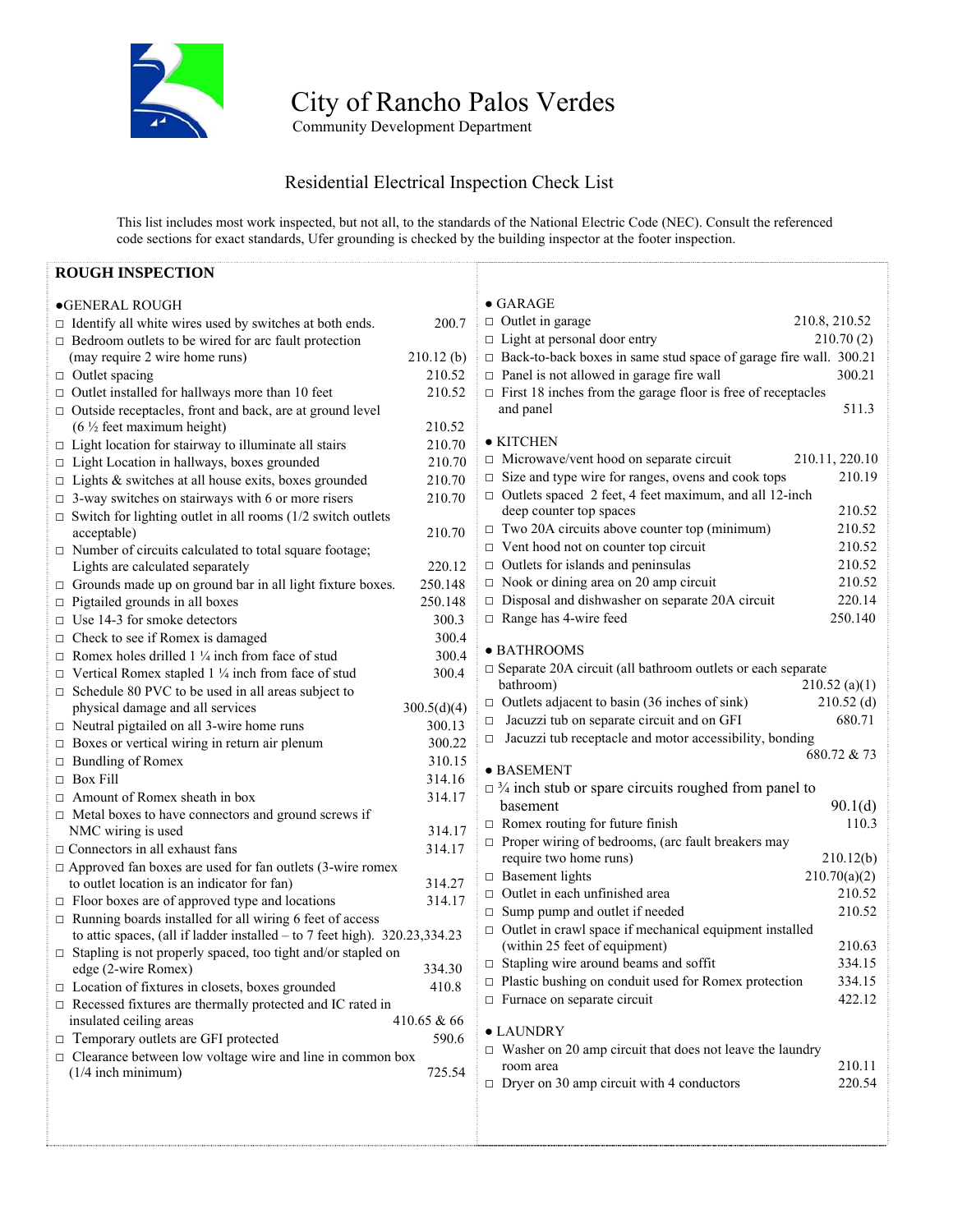

City of Rancho Palos Verdes

**Community Development Department** 

## Residential Electrical Inspection Check List

This list includes most work inspected, but not all, to the standards of the National Electric Code (NEC). Consult the referenced code sections for exact standards, Ufer grounding is checked by the building inspector at the footer inspection.

| <b>ROUGH INSPECTION</b>                                                      |                                                                                        |  |
|------------------------------------------------------------------------------|----------------------------------------------------------------------------------------|--|
| <b>•GENERAL ROUGH</b>                                                        | $\bullet$ GARAGE                                                                       |  |
| $\Box$ Identify all white wires used by switches at both ends.<br>200.7      | $\Box$ Outlet in garage<br>210.8, 210.52                                               |  |
| $\Box$ Bedroom outlets to be wired for arc fault protection                  | $\Box$ Light at personal door entry<br>210.70(2)                                       |  |
| 210.12(b)<br>(may require 2 wire home runs)                                  | $\Box$ Back-to-back boxes in same stud space of garage fire wall. 300.21               |  |
| $\Box$ Outlet spacing<br>210.52                                              | $\Box$ Panel is not allowed in garage fire wall<br>300.21                              |  |
| $\Box$ Outlet installed for hallways more than 10 feet<br>210.52             | $\Box$ First 18 inches from the garage floor is free of receptacles                    |  |
| $\Box$ Outside receptacles, front and back, are at ground level              | 511.3<br>and panel                                                                     |  |
| $(6 \frac{1}{2})$ feet maximum height)<br>210.52                             |                                                                                        |  |
| $\Box$ Light location for stairway to illuminate all stairs<br>210.70        | • KITCHEN                                                                              |  |
| □ Light Location in hallways, boxes grounded<br>210.70                       | $\Box$ Microwave/vent hood on separate circuit<br>210.11, 220.10                       |  |
| $\Box$ Lights & switches at all house exits, boxes grounded<br>210.70        | $\Box$ Size and type wire for ranges, ovens and cook tops<br>210.19                    |  |
| $\Box$ 3-way switches on stairways with 6 or more risers<br>210.70           | $\Box$ Outlets spaced 2 feet, 4 feet maximum, and all 12-inch                          |  |
| $\Box$ Switch for lighting outlet in all rooms (1/2 switch outlets           | 210.52<br>deep counter top spaces                                                      |  |
| 210.70<br>acceptable)                                                        | $\Box$ Two 20A circuits above counter top (minimum)<br>210.52                          |  |
| $\Box$ Number of circuits calculated to total square footage;                | $\Box$ Vent hood not on counter top circuit<br>210.52                                  |  |
| Lights are calculated separately<br>220.12                                   | $\Box$ Outlets for islands and peninsulas<br>210.52                                    |  |
| $\Box$ Grounds made up on ground bar in all light fixture boxes.<br>250.148  | $\Box$ Nook or dining area on 20 amp circuit<br>210.52                                 |  |
| $\Box$ Pigtailed grounds in all boxes<br>250.148                             | □ Disposal and dishwasher on separate 20A circuit<br>220.14                            |  |
| $\Box$ Use 14-3 for smoke detectors<br>300.3                                 | $\Box$ Range has 4-wire feed<br>250.140                                                |  |
| 300.4<br>$\Box$ Check to see if Romex is damaged                             |                                                                                        |  |
| $\Box$ Romex holes drilled 1 ¼ inch from face of stud<br>300.4               | · BATHROOMS                                                                            |  |
| $\Box$ Vertical Romex stapled 1 ¼ inch from face of stud<br>300.4            | $\square$ Separate 20A circuit (all bathroom outlets or each separate                  |  |
| $\Box$ Schedule 80 PVC to be used in all areas subject to                    | 210.52(a)(1)<br>bathroom)                                                              |  |
| physical damage and all services<br>300.5(d)(4)                              | $210.52$ (d)<br>$\Box$ Outlets adjacent to basin (36 inches of sink)                   |  |
| $\Box$ Neutral pigtailed on all 3-wire home runs<br>300.13                   | Jacuzzi tub on separate circuit and on GFI<br>680.71<br>□                              |  |
| 300.22<br>$\Box$ Boxes or vertical wiring in return air plenum               | Jacuzzi tub receptacle and motor accessibility, bonding<br>$\Box$                      |  |
| $\Box$ Bundling of Romex<br>310.15                                           | 680.72 & 73                                                                            |  |
| $\Box$ Box Fill<br>314.16                                                    | · BASEMENT                                                                             |  |
| $\Box$ Amount of Romex sheath in box<br>314.17                               | $\Box$ 3/4 inch stub or spare circuits roughed from panel to                           |  |
| $\Box$ Metal boxes to have connectors and ground screws if                   | 90.1(d)<br>basement                                                                    |  |
| NMC wiring is used<br>314.17                                                 | $\Box$ Romex routing for future finish<br>110.3                                        |  |
| 314.17<br>$\Box$ Connectors in all exhaust fans                              | $\Box$ Proper wiring of bedrooms, (arc fault breakers may                              |  |
| $\Box$ Approved fan boxes are used for fan outlets (3-wire romex             | require two home runs)<br>210.12(b)                                                    |  |
| to outlet location is an indicator for fan)<br>314.27                        | $\Box$ Basement lights<br>210.70(a)(2)                                                 |  |
| $\Box$ Floor boxes are of approved type and locations<br>314.17              | $\Box$ Outlet in each unfinished area<br>210.52                                        |  |
| $\Box$ Running boards installed for all wiring 6 feet of access              | 210.52<br>$\Box$ Sump pump and outlet if needed                                        |  |
| to attic spaces, (all if ladder installed $-$ to 7 feet high). 320.23,334.23 | $\Box$ Outlet in crawl space if mechanical equipment installed                         |  |
| $\Box$ Stapling is not properly spaced, too tight and/or stapled on          | (within 25 feet of equipment)<br>210.63                                                |  |
| edge (2-wire Romex)<br>334.30                                                | $\Box$ Stapling wire around beams and soffit<br>334.15                                 |  |
| $\Box$ Location of fixtures in closets, boxes grounded<br>410.8              | $\Box$ Plastic bushing on conduit used for Romex protection<br>334.15                  |  |
| $\Box$ Recessed fixtures are thermally protected and IC rated in             | $\Box$ Furnace on separate circuit<br>422.12                                           |  |
| insulated ceiling areas<br>410.65 & 66                                       |                                                                                        |  |
| □ Temporary outlets are GFI protected<br>590.6                               | $\bullet$ LAUNDRY                                                                      |  |
| $\Box$ Clearance between low voltage wire and line in common box             | $\Box$ Washer on 20 amp circuit that does not leave the laundry<br>210.11<br>room area |  |
| $(1/4$ inch minimum)<br>725.54                                               | $\Box$ Dryer on 30 amp circuit with 4 conductors<br>220.54                             |  |
|                                                                              |                                                                                        |  |
|                                                                              |                                                                                        |  |
|                                                                              |                                                                                        |  |